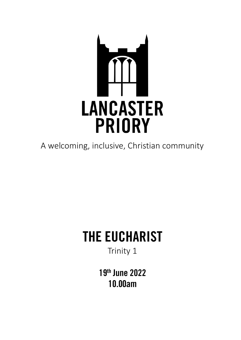

# A welcoming, inclusive, Christian community

# **THE EUCHARIST**

Trinity 1

19th June 2022 10.00am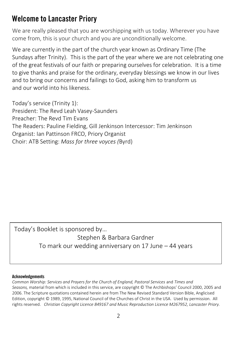## **Welcome to Lancaster Priory**

We are really pleased that you are worshipping with us today. Wherever you have come from, this is your church and you are unconditionally welcome.

We are currently in the part of the church year known as Ordinary Time (The Sundays after Trinity). This is the part of the year where we are not celebrating one of the great festivals of our faith or preparing ourselves for celebration. It is a time to give thanks and praise for the ordinary, everyday blessings we know in our lives and to bring our concerns and failings to God, asking him to transform us and our world into his likeness.

Today's service (Trinity 1): President: The Revd Leah Vasey-Saunders Preacher: The Revd Tim Evans The Readers: Pauline Fielding, Gill Jenkinson Intercessor: Tim Jenkinson Organist: Ian Pattinson FRCO, Priory Organist Choir: ATB Setting: *Mass for three voyces (*Byrd)

Today's Booklet is sponsored by… Stephen & Barbara Gardner To mark our wedding anniversary on 17 June – 44 years

#### **Acknowledgements**

*Common Worship: Services and Prayers for the Church of England, Pastoral Services* and *Times and Seasons,* material from which is included in this service, are copyright © The Archbishops' Council 2000, 2005 and 2006. The Scripture quotations contained herein are from The New Revised Standard Version Bible, Anglicised Edition, copyright © 1989, 1995, National Council of the Churches of Christ in the USA. Used by permission. All rights reserved. *Christian Copyright Licence 849167 and Music Reproduction Licence M267952, Lancaster Priory.*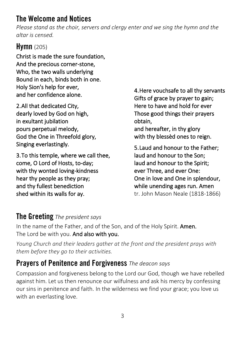# The Welcome and Notices

*Please stand as the choir, servers and clergy enter and we sing the hymn and the altar is censed.*

# Hymn $(205)$

Christ is made the sure foundation, And the precious corner-stone, Who, the two walls underlying Bound in each, binds both in one. Holy Sion's help for ever, and her confidence alone.

2. All that dedicated City, dearly loved by God on high, in exultant jubilation pours perpetual melody, God the One in Threefold glory, Singing everlastingly.

3. To this temple, where we call thee, come, O Lord of Hosts, to-day; with thy wonted loving-kindness hear thy people as they pray; and thy fullest benediction shed within its walls for ay. Ī

4. Here vouchsafe to all thy servants Gifts of grace by prayer to gain; Here to have and hold for ever Those good things their prayers obtain, and hereafter, in thy glory with thy blessèd ones to reign.

5. Laud and honour to the Father; laud and honour to the Son; laud and honour to the Spirit; ever Three, and ever One: One in love and One in splendour, while unending ages run. Amen tr. John Mason Neale (1818-1866)

# **The Greeting** The president says

In the name of the Father, and of the Son, and of the Holy Spirit. Amen. The Lord be with you. And also with you.

*Young Church and their leaders gather at the front and the president prays with them before they go to their activities.*

# **Prayers of Penitence and Forgiveness** The deacon says

Compassion and forgiveness belong to the Lord our God, though we have rebelled against him. Let us then renounce our wilfulness and ask his mercy by confessing our sins in penitence and faith. In the wilderness we find your grace; you love us with an everlasting love.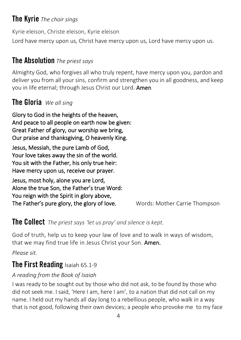## **The Kyrie** The choir sings

Kyrie eleison, Christe eleison, Kyrie eleison Lord have mercy upon us, Christ have mercy upon us, Lord have mercy upon us.

## **The Absolution** The priest says

Almighty God, who forgives all who truly repent, have mercy upon you, pardon and deliver you from all your sins, confirm and strengthen you in all goodness, and keep you in life eternal; through Jesus Christ our Lord. Amen

## **The Gloria** We all sing

Glory to God in the heights of the heaven, And peace to all people on earth now be given: Great Father of glory, our worship we bring, Our praise and thanksgiving, O heavenly King.

Jesus, Messiah, the pure Lamb of God, Your love takes away the sin of the world. You sit with the Father, his only true heir: Have mercy upon us, receive our prayer.

Jesus, most holy, alone you are Lord, Alone the true Son, the Father's true Word: You reign with the Spirit in glory above, The Father's pure glory, the glory of love. Words: Mother Carrie Thompson

## **The Collect** The priest says 'let us pray' and silence is kept.

God of truth, help us to keep your law of love and to walk in ways of wisdom, that we may find true life in Jesus Christ your Son. Amen.

*Please sit.*

## **The First Reading Isaiah 65.1-9**

# *A reading from the Book of Isaiah*

I was ready to be sought out by those who did not ask, to be found by those who did not seek me. I said, 'Here I am, here I am', to a nation that did not call on my name. I held out my hands all day long to a rebellious people, who walk in a way that is not good, following their own devices; a people who provoke me to my face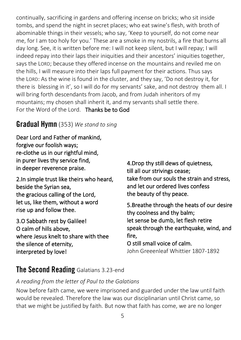continually, sacrificing in gardens and offering incense on bricks; who sit inside tombs, and spend the night in secret places; who eat swine's flesh, with broth of abominable things in their vessels; who say, 'Keep to yourself, do not come near me, for I am too holy for you.' These are a smoke in my nostrils, a fire that burns all day long. See, it is written before me: I will not keep silent, but I will repay; I will indeed repay into their laps their iniquities and their ancestors' iniquities together, says the LORD; because they offered incense on the mountains and reviled me on the hills, I will measure into their laps full payment for their actions. Thus says the LORD: As the wine is found in the cluster, and they say, 'Do not destroy it, for there is blessing in it', so I will do for my servants' sake, and not destroy them all. I will bring forth descendants from Jacob, and from Judah inheritors of my mountains; my chosen shall inherit it, and my servants shall settle there. For the Word of the Lord. Thanks be to God

## **Gradual Hymn** (353) *We stand to sing*

Dear Lord and Father of mankind, forgive our foolish ways; re-clothe us in our rightful mind, in purer lives thy service find, in deeper reverence praise.

2.In simple trust like theirs who heard, beside the Syrian sea, the gracious calling of the Lord, let us, like them, without a word rise up and follow thee.

3.O Sabbath rest by Galilee! O calm of hills above, where Jesus knelt to share with thee the silence of eternity, interpreted by love!

4.Drop thy still dews of quietness, till all our strivings cease; take from our souls the strain and stress, and let our ordered lives confess the beauty of thy peace.

5.Breathe through the heats of our desire thy coolness and thy balm; let sense be dumb, let flesh retire speak through the earthquake, wind, and fire,

#### O still small voice of calm.

John Greeenleaf Whittier 1807-1892

# The Second Reading Galatians 3.23-end

#### *A reading from the letter of Paul to the Galatians*

Now before faith came, we were imprisoned and guarded under the law until faith would be revealed. Therefore the law was our disciplinarian until Christ came, so that we might be justified by faith. But now that faith has come, we are no longer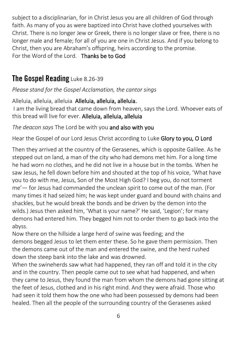subject to a disciplinarian, for in Christ Jesus you are all children of God through faith. As many of you as were baptized into Christ have clothed yourselves with Christ. There is no longer Jew or Greek, there is no longer slave or free, there is no longer male and female; for all of you are one in Christ Jesus. And if you belong to Christ, then you are Abraham's offspring, heirs according to the promise. For the Word of the Lord. Thanks be to God

# The Gospel Reading Luke 8.26-39

*Please stand for the Gospel Acclamation, the cantor sings*

Alleluia, alleluia, alleluia Alleluia, alleluia, alleluia.

I am the living bread that came down from heaven, says the Lord. Whoever eats of this bread will live for ever. Alleluia, alleluia, alleluia

#### *The deacon says* The Lord be with you and also with you

Hear the Gospel of our Lord Jesus Christ according to Luke Glory to you, O Lord

Then they arrived at the country of the Gerasenes, which is opposite Galilee. As he stepped out on land, a man of the city who had demons met him. For a long time he had worn no clothes, and he did not live in a house but in the tombs. When he saw Jesus, he fell down before him and shouted at the top of his voice, 'What have you to do with me, Jesus, Son of the Most High God? I beg you, do not torment me'— for Jesus had commanded the unclean spirit to come out of the man. (For many times it had seized him; he was kept under guard and bound with chains and shackles, but he would break the bonds and be driven by the demon into the wilds.) Jesus then asked him, 'What is your name?' He said, 'Legion'; for many demons had entered him. They begged him not to order them to go back into the abyss.

Now there on the hillside a large herd of swine was feeding; and the demons begged Jesus to let them enter these. So he gave them permission. Then the demons came out of the man and entered the swine, and the herd rushed down the steep bank into the lake and was drowned.

When the swineherds saw what had happened, they ran off and told it in the city and in the country. Then people came out to see what had happened, and when they came to Jesus, they found the man from whom the demons had gone sitting at the feet of Jesus, clothed and in his right mind. And they were afraid. Those who had seen it told them how the one who had been possessed by demons had been healed. Then all the people of the surrounding country of the Gerasenes asked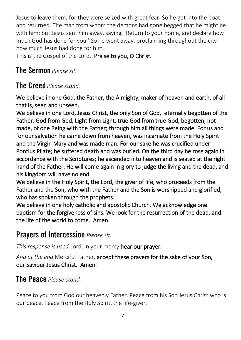Jesus to leave them; for they were seized with great fear. So he got into the boat and returned. The man from whom the demons had gone begged that he might be with him; but Jesus sent him away, saying, 'Return to your home, and declare how much God has done for you.' So he went away, proclaiming throughout the city how much Jesus had done for him.

This is the Gospel of the Lord. Praise to you, O Christ.

# **The Sermon** Please sit.

# **The Creed** Please stand.

We believe in one God, the Father, the Almighty, maker of heaven and earth, of all that is, seen and unseen.

We believe in one Lord, Jesus Christ, the only Son of God, eternally begotten of the Father, God from God, Light from Light, true God from true God, begotten, not made, of one Being with the Father; through him all things were made. For us and for our salvation he came down from heaven, was incarnate from the Holy Spirit and the Virgin Mary and was made man. For our sake he was crucified under Pontius Pilate; he suffered death and was buried. On the third day he rose again in accordance with the Scriptures; he ascended into heaven and is seated at the right hand of the Father. He will come again in glory to judge the living and the dead, and his kingdom will have no end.

We believe in the Holy Spirit, the Lord, the giver of life, who proceeds from the Father and the Son, who with the Father and the Son is worshipped and glorified, who has spoken through the prophets.

We believe in one holy catholic and apostolic Church. We acknowledge one baptism for the forgiveness of sins. We look for the resurrection of the dead, and the life of the world to come. Amen.

# **Pravers of Intercession** Please sit.

*This response is used* Lord, in your mercy hear our prayer.

*And at the end* Merciful Father, accept these prayers for the sake of your Son, our Saviour Jesus Christ. Amen.

# **The Peace** Please stand.

Peace to you from God our heavenly Father. Peace from his Son Jesus Christ who is our peace. Peace from the Holy Spirit, the life-giver.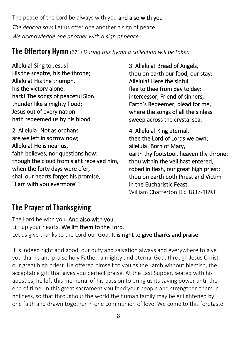The peace of the Lord be always with you and also with you *The deacon says* Let us offer one another a sign of peace. *We acknowledge one another with a sign of peace.* 

The Offertory Hymn (271) During this hymn a collection will be taken.

Alleluia! Sing to Jesus! His the sceptre, his the throne; Alleluia! His the triumph, his the victory alone: hark! The songs of peaceful Sion thunder like a mighty flood; Jesus out of every nation hath redeemed us by his blood.

2. Alleluia! Not as orphans are we left in sorrow now; Alleluia! He is near us, faith believes, nor questions how: though the cloud from sight received him, when the forty days were o'er, shall our hearts forget his promise, "I am with you evermore"?

3. Alleluia! Bread of Angels, thou on earth our food, our stay; Alleluia! Here the sinful flee to thee from day to day: intercessor, Friend of sinners, Earth's Redeemer, plead for me, where the songs of all the sinless sweep across the crystal sea.

4. Alleluia! King eternal, thee the Lord of Lords we own; alleluia! Born of Mary, earth thy footstool, heaven thy throne: thou within the veil hast entered, robed in flesh, our great high priest; thou on earth both Priest and Victim in the Eucharistic Feast.

William Chatterton Dix 1837-1898

# The Prayer of Thanksgiving

The Lord be with you. And also with you. Lift up your hearts. We lift them to the Lord. Let us give thanks to the Lord our God. It is right to give thanks and praise

It is indeed right and good, our duty and salvation always and everywhere to give you thanks and praise holy Father, almighty and eternal God, through Jesus Christ our great high priest. He offered himself to you as the Lamb without blemish, the acceptable gift that gives you perfect praise. At the Last Supper, seated with his apostles, he left this memorial of his passion to bring us its saving power until the end of time. In this great sacrament you feed your people and strengthen them in holiness, so that throughout the world the human family may be enlightened by one faith and drawn together in one communion of love. We come to this foretaste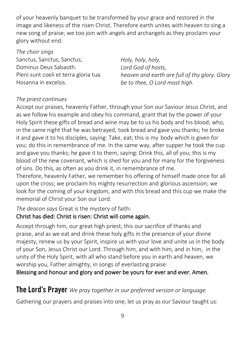of your heavenly banquet to be transformed by your grace and restored in the image and likeness of the risen Christ. Therefore earth unites with heaven to sing a new song of praise; we too join with angels and archangels as they proclaim your glory without end:

*The choir sings* Sanctus, Sanctus, Sanctus, Dominus Deus Sabaoth. Pleni sunt coeli et terra gloria tua. Hosanna in excelsis.

*Holy, holy, holy, Lord God of hosts, heaven and earth are full of thy glory. Glory be to thee, O Lord most high.*

#### *The priest continues*

Accept our praises, heavenly Father, through your Son our Saviour Jesus Christ, and as we follow his example and obey his command, grant that by the power of your Holy Spirit these gifts of bread and wine may be to us his body and his blood; who, in the same night that he was betrayed, took bread and gave you thanks; he broke it and gave it to his disciples, saying: Take, eat; this is my body which is given for you; do this in remembrance of me. In the same way, after supper he took the cup and gave you thanks; he gave it to them, saying: Drink this, all of you; this is my blood of the new covenant, which is shed for you and for many for the forgiveness of sins. Do this, as often as you drink it, in remembrance of me.

Therefore, heavenly Father, we remember his offering of himself made once for all upon the cross; we proclaim his mighty resurrection and glorious ascension; we look for the coming of your kingdom, and with this bread and this cup we make the memorial of Christ your Son our Lord.

*The deacon says* Great is the mystery of faith:

#### Christ has died: Christ is risen: Christ will come again.

Accept through him, our great high priest, this our sacrifice of thanks and praise, and as we eat and drink these holy gifts in the presence of your divine majesty, renew us by your Spirit, inspire us with your love and unite us in the body of your Son, Jesus Christ our Lord. Through him, and with him, and in him, in the unity of the Holy Spirit, with all who stand before you in earth and heaven, we worship you, Father almighty, in songs of everlasting praise:

Blessing and honour and glory and power be yours for ever and ever. Amen.

#### **The Lord's Prayer** We pray together in our preferred version or language.

Gathering our prayers and praises into one, let us pray as our Saviour taught us: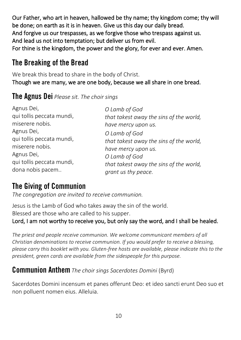Our Father, who art in heaven, hallowed be thy name; thy kingdom come; thy will be done; on earth as it is in heaven. Give us this day our daily bread. And forgive us our trespasses, as we forgive those who trespass against us. And lead us not into temptation; but deliver us from evil. For thine is the kingdom, the power and the glory, for ever and ever. Amen.

# The Breaking of the Bread

We break this bread to share in the body of Christ. Though we are many, we are one body, because we all share in one bread.

## **The Agnus Dei** Please sit. The choir sings

| O Lamb of God                           |
|-----------------------------------------|
| that takest away the sins of the world, |
| have mercy upon us.                     |
| O Lamb of God                           |
| that takest away the sins of the world, |
| have mercy upon us.                     |
| O Lamb of God                           |
| that takest away the sins of the world, |
| grant us thy peace.                     |
|                                         |

# The Giving of Communion

*The congregation are invited to receive communion.*

Jesus is the Lamb of God who takes away the sin of the world. Blessed are those who are called to his supper.

#### Lord, I am not worthy to receive you, but only say the word, and I shall be healed.

*The priest and people receive communion. We welcome communicant members of all Christian denominations to receive communion. If you would prefer to receive a blessing, please carry this booklet with you. Gluten-free hosts are available, please indicate this to the president, green cards are available from the sidespeople for this purpose.* 

## **Communion Anthem** *The choir sings Sacerdotes Domini* (Byrd)

Sacerdotes Domini incensum et panes offerunt Deo: et ideo sancti erunt Deo suo et non polluent nomen eius. Alleluia.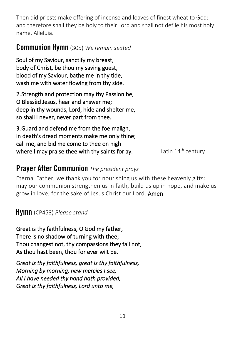Then did priests make offering of incense and loaves of finest wheat to God: and therefore shall they be holy to their Lord and shall not defile his most holy name. Alleluia.

## (305) *We remain seated*

Soul of my Saviour, sanctify my breast, body of Christ, be thou my saving guest, blood of my Saviour, bathe me in thy tide, wash me with water flowing from thy side.

2. Strength and protection may thy Passion be, O Blessèd Jesus, hear and answer me; deep in thy wounds, Lord, hide and shelter me, so shall I never, never part from thee. Ī

3. Guard and defend me from the foe malign, in death's dread moments make me only thine; call me, and bid me come to thee on high where I may praise thee with thy saints for ay.  $Latin 14<sup>th</sup>$  century

## **Praver After Communion** The president prays

Eternal Father, we thank you for nourishing us with these heavenly gifts: may our communion strengthen us in faith, build us up in hope, and make us grow in love; for the sake of Jesus Christ our Lord. Amen

**Hymn** (CP453) *Please stand* 

Great is thy faithfulness, O God my father, There is no shadow of turning with thee; Thou changest not, thy compassions they fail not, As thou hast been, thou for ever wilt be.

*Great is thy faithfulness, great is thy faithfulness, Morning by morning, new mercies I see, All I have needed thy hand hath provided, Great is thy faithfulness, Lord unto me,*